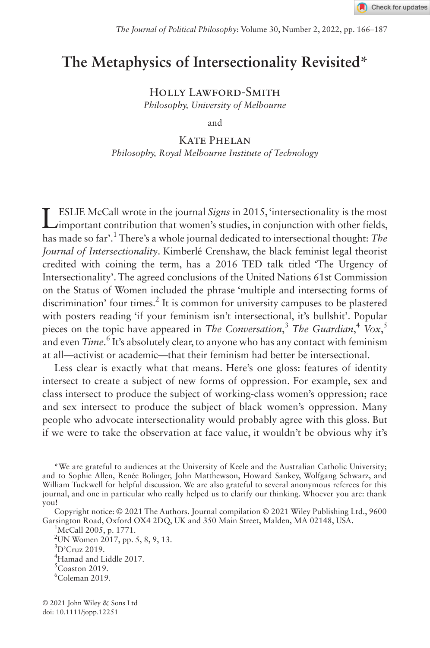# **The Metaphysics of Intersectionality Revisited\***

Holly Lawford-Smith *Philosophy, University of Melbourne*

and

### Kate Phelan

*Philosophy, Royal Melbourne Institute of Technology*

LESLIE McCall wrote in the journal *Signs* in 2015, 'intersectionality is the most important contribution that women's studies, in conjunction with other fields, has made so far'.1 There's a whole journal dedicated to intersectional thought: *The Journal of Intersectionality*. Kimberlé Crenshaw, the black feminist legal theorist credited with coining the term, has a 2016 TED talk titled 'The Urgency of Intersectionality'. The agreed conclusions of the United Nations 61st Commission on the Status of Women included the phrase 'multiple and intersecting forms of discrimination' four times.<sup>2</sup> It is common for university campuses to be plastered with posters reading 'if your feminism isn't intersectional, it's bullshit'. Popular pieces on the topic have appeared in *The Conversation*, <sup>3</sup> *The Guardian*, <sup>4</sup> *Vox*, 5 and even *Time*.<sup>6</sup> It's absolutely clear, to anyone who has any contact with feminism at all—activist or academic—that their feminism had better be intersectional.

Less clear is exactly what that means. Here's one gloss: features of identity intersect to create a subject of new forms of oppression. For example, sex and class intersect to produce the subject of working-class women's oppression; race and sex intersect to produce the subject of black women's oppression. Many people who advocate intersectionality would probably agree with this gloss. But if we were to take the observation at face value, it wouldn't be obvious why it's

\*We are grateful to audiences at the University of Keele and the Australian Catholic University; and to Sophie Allen, Renée Bolinger, John Matthewson, Howard Sankey, Wolfgang Schwarz, and William Tuckwell for helpful discussion. We are also grateful to several anonymous referees for this journal, and one in particular who really helped us to clarify our thinking. Whoever you are: thank you!

Copyright notice: © 2021 The Authors. Journal compilation © 2021 Wiley Publishing Ltd., 9600 Garsington Road, Oxford OX4 2DQ, UK and 350 Main Street, Malden, MA 02148, USA.

 $2$ UN Women 2017, pp. 5, 8, 9, 13.

<sup>&</sup>lt;sup>1</sup>McCall 2005, p. 1771.

<sup>3</sup> D'Cruz 2019.

<sup>4</sup> Hamad and Liddle 2017.

 ${}^5$ Coaston 2019.

<sup>6</sup> Coleman 2019.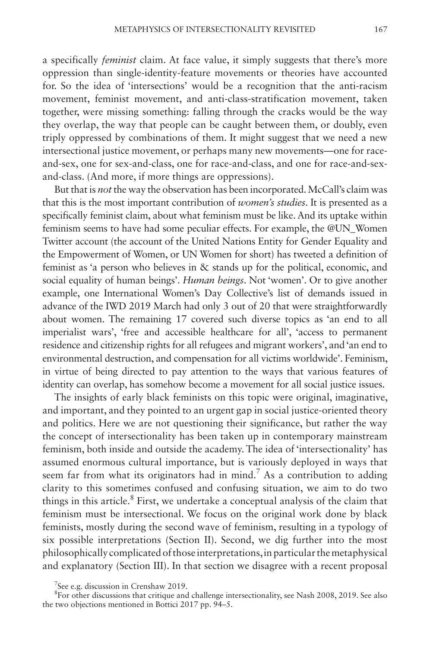a specifically *feminist* claim. At face value, it simply suggests that there's more oppression than single-identity-feature movements or theories have accounted for. So the idea of 'intersections' would be a recognition that the anti-racism movement, feminist movement, and anti-class-stratification movement, taken together, were missing something: falling through the cracks would be the way they overlap, the way that people can be caught between them, or doubly, even triply oppressed by combinations of them. It might suggest that we need a new intersectional justice movement, or perhaps many new movements—one for raceand-sex, one for sex-and-class, one for race-and-class, and one for race-and-sexand-class. (And more, if more things are oppressions).

But that is *not* the way the observation has been incorporated. McCall's claim was that this is the most important contribution of *women's studies*. It is presented as a specifically feminist claim, about what feminism must be like. And its uptake within feminism seems to have had some peculiar effects. For example, the @UN\_Women Twitter account (the account of the United Nations Entity for Gender Equality and the Empowerment of Women, or UN Women for short) has tweeted a definition of feminist as 'a person who believes in & stands up for the political, economic, and social equality of human beings'. *Human beings*. Not 'women'. Or to give another example, one International Women's Day Collective's list of demands issued in advance of the IWD 2019 March had only 3 out of 20 that were straightforwardly about women. The remaining 17 covered such diverse topics as 'an end to all imperialist wars', 'free and accessible healthcare for all', 'access to permanent residence and citizenship rights for all refugees and migrant workers', and 'an end to environmental destruction, and compensation for all victims worldwide'. Feminism, in virtue of being directed to pay attention to the ways that various features of identity can overlap, has somehow become a movement for all social justice issues.

The insights of early black feminists on this topic were original, imaginative, and important, and they pointed to an urgent gap in social justice-oriented theory and politics. Here we are not questioning their significance, but rather the way the concept of intersectionality has been taken up in contemporary mainstream feminism, both inside and outside the academy. The idea of 'intersectionality' has assumed enormous cultural importance, but is variously deployed in ways that seem far from what its originators had in mind.<sup>7</sup> As a contribution to adding clarity to this sometimes confused and confusing situation, we aim to do two things in this article.<sup>8</sup> First, we undertake a conceptual analysis of the claim that feminism must be intersectional. We focus on the original work done by black feminists, mostly during the second wave of feminism, resulting in a typology of six possible interpretations (Section II). Second, we dig further into the most philosophically complicated of those interpretations, in particular the metaphysical and explanatory (Section III). In that section we disagree with a recent proposal

<sup>&</sup>lt;sup>7</sup>See e.g. discussion in Crenshaw 2019.

<sup>&</sup>lt;sup>8</sup>For other discussions that critique and challenge intersectionality, see Nash 2008, 2019. See also the two objections mentioned in Bottici 2017 pp. 94–5.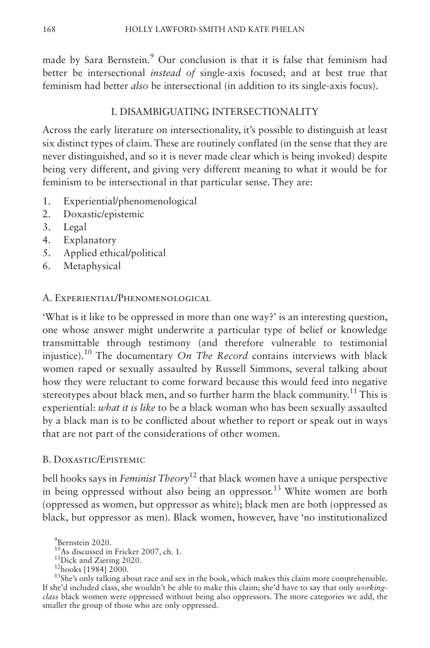made by Sara Bernstein.<sup>9</sup> Our conclusion is that it is false that feminism had better be intersectional *instead of* single-axis focused; and at best true that feminism had better *also* be intersectional (in addition to its single-axis focus).

# I. DISAMBIGUATING INTERSECTIONALITY

Across the early literature on intersectionality, it's possible to distinguish at least six distinct types of claim. These are routinely conflated (in the sense that they are never distinguished, and so it is never made clear which is being invoked) despite being very different, and giving very different meaning to what it would be for feminism to be intersectional in that particular sense. They are:

- 1. Experiential/phenomenological
- 2. Doxastic/epistemic
- 3. Legal
- 4. Explanatory
- 5. Applied ethical/political
- 6. Metaphysical

# A. Experiential/Phenomenological

'What is it like to be oppressed in more than one way?' is an interesting question, one whose answer might underwrite a particular type of belief or knowledge transmittable through testimony (and therefore vulnerable to testimonial injustice).10 The documentary *On The Record* contains interviews with black women raped or sexually assaulted by Russell Simmons, several talking about how they were reluctant to come forward because this would feed into negative stereotypes about black men, and so further harm the black community.<sup>11</sup> This is experiential: *what it is like* to be a black woman who has been sexually assaulted by a black man is to be conflicted about whether to report or speak out in ways that are not part of the considerations of other women.

# B. Doxastic/Epistemic

bell hooks says in *Feminist Theory*12 that black women have a unique perspective in being oppressed without also being an oppressor.<sup>13</sup> White women are both (oppressed as women, but oppressor as white); black men are both (oppressed as black, but oppressor as men). Black women, however, have 'no institutionalized

<sup>9</sup> Bernstein 2020.

<sup>&</sup>lt;sup>10</sup>As discussed in Fricker 2007, ch. 1.<br><sup>11</sup>Dick and Ziering 2020. <sup>12</sup>hooks [1984] 2000.<br><sup>12</sup>hooks [1984] 2000.<br><sup>13</sup>She's only talking about race and sex in the book, which makes this claim more comprehensible. If she'd included class, she wouldn't be able to make this claim; she'd have to say that only *workingclass* black women were oppressed without being also oppressors. The more categories we add, the smaller the group of those who are only oppressed.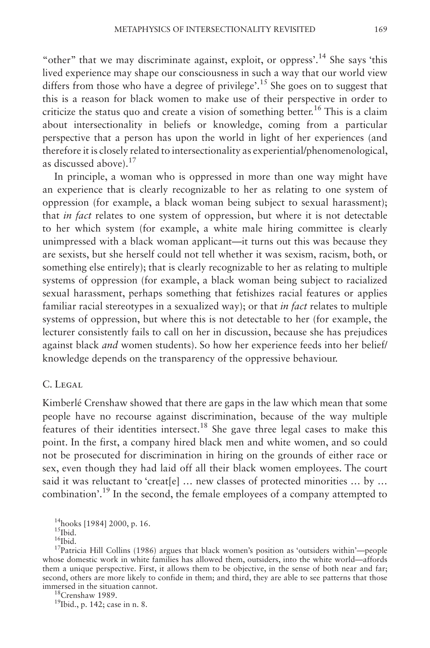"other" that we may discriminate against, exploit, or oppress'.<sup>14</sup> She says 'this lived experience may shape our consciousness in such a way that our world view differs from those who have a degree of privilege'.<sup>15</sup> She goes on to suggest that this is a reason for black women to make use of their perspective in order to criticize the status quo and create a vision of something better.<sup>16</sup> This is a claim about intersectionality in beliefs or knowledge, coming from a particular perspective that a person has upon the world in light of her experiences (and therefore it is closely related to intersectionality as experiential/phenomenological, as discussed above). $17$ 

In principle, a woman who is oppressed in more than one way might have an experience that is clearly recognizable to her as relating to one system of oppression (for example, a black woman being subject to sexual harassment); that *in fact* relates to one system of oppression, but where it is not detectable to her which system (for example, a white male hiring committee is clearly unimpressed with a black woman applicant—it turns out this was because they are sexists, but she herself could not tell whether it was sexism, racism, both, or something else entirely); that is clearly recognizable to her as relating to multiple systems of oppression (for example, a black woman being subject to racialized sexual harassment, perhaps something that fetishizes racial features or applies familiar racial stereotypes in a sexualized way); or that *in fact* relates to multiple systems of oppression, but where this is not detectable to her (for example, the lecturer consistently fails to call on her in discussion, because she has prejudices against black *and* women students). So how her experience feeds into her belief/ knowledge depends on the transparency of the oppressive behaviour.

## C. Legal

Kimberlé Crenshaw showed that there are gaps in the law which mean that some people have no recourse against discrimination, because of the way multiple features of their identities intersect.18 She gave three legal cases to make this point. In the first, a company hired black men and white women, and so could not be prosecuted for discrimination in hiring on the grounds of either race or sex, even though they had laid off all their black women employees. The court said it was reluctant to 'creat[e] ... new classes of protected minorities ... by ... combination'.19 In the second, the female employees of a company attempted to

<sup>18</sup>Crenshaw 1989. <sup>19</sup>Ibid., p. 142; case in n. 8.

<sup>&</sup>lt;sup>14</sup>hooks [1984] 2000, p. 16.<br><sup>15</sup>Ibid.<br><sup>16</sup>Ibid. 16Ibid. 16Ibid. 16Ibid. 17Patricia Hill Collins (1986) argues that black women's position as 'outsiders within'—people whose domestic work in white families has allowed them, outsiders, into the white world—affords them a unique perspective. First, it allows them to be objective, in the sense of both near and far; second, others are more likely to confide in them; and third, they are able to see patterns that those immersed in the situation cannot.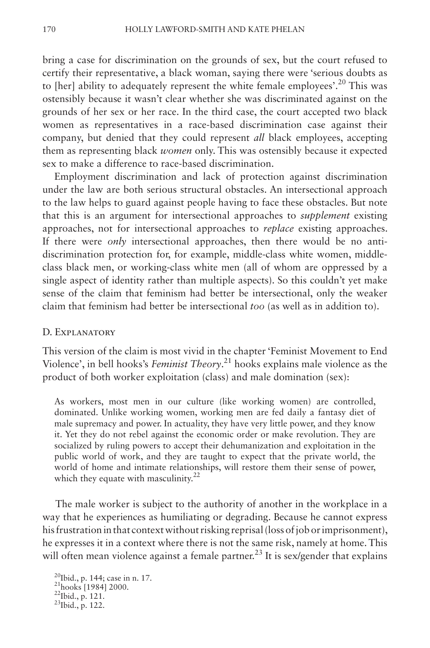bring a case for discrimination on the grounds of sex, but the court refused to certify their representative, a black woman, saying there were 'serious doubts as to [her] ability to adequately represent the white female employees'.<sup>20</sup> This was ostensibly because it wasn't clear whether she was discriminated against on the grounds of her sex or her race. In the third case, the court accepted two black women as representatives in a race-based discrimination case against their company, but denied that they could represent *all* black employees, accepting them as representing black *women* only. This was ostensibly because it expected sex to make a difference to race-based discrimination.

Employment discrimination and lack of protection against discrimination under the law are both serious structural obstacles. An intersectional approach to the law helps to guard against people having to face these obstacles. But note that this is an argument for intersectional approaches to *supplement* existing approaches, not for intersectional approaches to *replace* existing approaches. If there were *only* intersectional approaches, then there would be no antidiscrimination protection for, for example, middle-class white women, middleclass black men, or working-class white men (all of whom are oppressed by a single aspect of identity rather than multiple aspects). So this couldn't yet make sense of the claim that feminism had better be intersectional, only the weaker claim that feminism had better be intersectional *too* (as well as in addition to).

#### D. Explanatory

This version of the claim is most vivid in the chapter 'Feminist Movement to End Violence', in bell hooks's *Feminist Theory*. 21 hooks explains male violence as the product of both worker exploitation (class) and male domination (sex):

As workers, most men in our culture (like working women) are controlled, dominated. Unlike working women, working men are fed daily a fantasy diet of male supremacy and power. In actuality, they have very little power, and they know it. Yet they do not rebel against the economic order or make revolution. They are socialized by ruling powers to accept their dehumanization and exploitation in the public world of work, and they are taught to expect that the private world, the world of home and intimate relationships, will restore them their sense of power, which they equate with masculinity. $22$ 

The male worker is subject to the authority of another in the workplace in a way that he experiences as humiliating or degrading. Because he cannot express his frustration in that context without risking reprisal (loss of job or imprisonment), he expresses it in a context where there is not the same risk, namely at home. This will often mean violence against a female partner.<sup>23</sup> It is sex/gender that explains

<sup>20</sup>Ibid., p. 144; case in n. 17.<br><sup>21</sup>hooks [1984] 2000.<br><sup>22</sup>Ibid., p. 121.<br><sup>23</sup>Ibid., p. 122.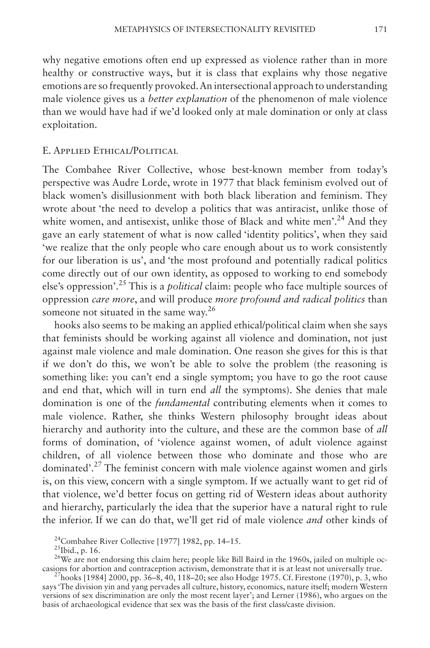why negative emotions often end up expressed as violence rather than in more healthy or constructive ways, but it is class that explains why those negative emotions are so frequently provoked. An intersectional approach to understanding male violence gives us a *better explanation* of the phenomenon of male violence than we would have had if we'd looked only at male domination or only at class exploitation.

# E. Applied Ethical/Political

The Combahee River Collective, whose best-known member from today's perspective was Audre Lorde, wrote in 1977 that black feminism evolved out of black women's disillusionment with both black liberation and feminism. They wrote about 'the need to develop a politics that was antiracist, unlike those of white women, and antisexist, unlike those of Black and white men'.<sup>24</sup> And they gave an early statement of what is now called 'identity politics', when they said 'we realize that the only people who care enough about us to work consistently for our liberation is us', and 'the most profound and potentially radical politics come directly out of our own identity, as opposed to working to end somebody else's oppression'.25 This is a *political* claim: people who face multiple sources of oppression *care more*, and will produce *more profound and radical politics* than someone not situated in the same way.<sup>26</sup>

hooks also seems to be making an applied ethical/political claim when she says that feminists should be working against all violence and domination, not just against male violence and male domination. One reason she gives for this is that if we don't do this, we won't be able to solve the problem (the reasoning is something like: you can't end a single symptom; you have to go the root cause and end that, which will in turn end *all* the symptoms). She denies that male domination is one of the *fundamental* contributing elements when it comes to male violence. Rather, she thinks Western philosophy brought ideas about hierarchy and authority into the culture, and these are the common base of *all* forms of domination, of 'violence against women, of adult violence against children, of all violence between those who dominate and those who are dominated'.27 The feminist concern with male violence against women and girls is, on this view, concern with a single symptom. If we actually want to get rid of that violence, we'd better focus on getting rid of Western ideas about authority and hierarchy, particularly the idea that the superior have a natural right to rule the inferior. If we can do that, we'll get rid of male violence *and* other kinds of

<sup>24</sup>Combahee River Collective [1977] 1982, pp. 14–15.<br><sup>25</sup>Ibid., p. 16. <sup>26</sup>We are not endorsing this claim here; people like Bill Baird in the 1960s, jailed on multiple oc-<br>casions for abortion and contraception activism

<sup>27</sup>hooks [1984] 2000, pp. 36–8, 40, 118–20; see also Hodge 1975. Cf. Firestone (1970), p. 3, who says 'The division yin and yang pervades all culture, history, economics, nature itself; modern Western versions of sex discrimination are only the most recent layer'; and Lerner (1986), who argues on the basis of archaeological evidence that sex was the basis of the first class/caste division.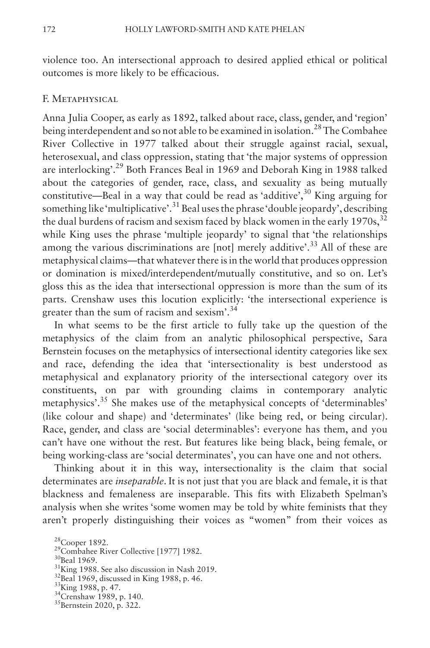violence too. An intersectional approach to desired applied ethical or political outcomes is more likely to be efficacious.

### F. Metaphysical

Anna Julia Cooper, as early as 1892, talked about race, class, gender, and 'region' being interdependent and so not able to be examined in isolation.<sup>28</sup> The Combahee River Collective in 1977 talked about their struggle against racial, sexual, heterosexual, and class oppression, stating that 'the major systems of oppression are interlocking'.29 Both Frances Beal in 1969 and Deborah King in 1988 talked about the categories of gender, race, class, and sexuality as being mutually constitutive—Beal in a way that could be read as 'additive', $30$  King arguing for something like 'multiplicative'.<sup>31</sup> Beal uses the phrase 'double jeopardy', describing the dual burdens of racism and sexism faced by black women in the early  $1970s$ ,  $32$ while King uses the phrase 'multiple jeopardy' to signal that 'the relationships among the various discriminations are [not] merely additive'.<sup>33</sup> All of these are metaphysical claims—that whatever there is in the world that produces oppression or domination is mixed/interdependent/mutually constitutive, and so on. Let's gloss this as the idea that intersectional oppression is more than the sum of its parts. Crenshaw uses this locution explicitly: 'the intersectional experience is greater than the sum of racism and sexism'.34

In what seems to be the first article to fully take up the question of the metaphysics of the claim from an analytic philosophical perspective, Sara Bernstein focuses on the metaphysics of intersectional identity categories like sex and race, defending the idea that 'intersectionality is best understood as metaphysical and explanatory priority of the intersectional category over its constituents, on par with grounding claims in contemporary analytic metaphysics'.35 She makes use of the metaphysical concepts of 'determinables' (like colour and shape) and 'determinates' (like being red, or being circular). Race, gender, and class are 'social determinables': everyone has them, and you can't have one without the rest. But features like being black, being female, or being working-class are 'social determinates', you can have one and not others.

Thinking about it in this way, intersectionality is the claim that social determinates are *inseparable*. It is not just that you are black and female, it is that blackness and femaleness are inseparable. This fits with Elizabeth Spelman's analysis when she writes 'some women may be told by white feminists that they aren't properly distinguishing their voices as "women" from their voices as

<sup>&</sup>lt;sup>28</sup>Cooper 1892.<br><sup>29</sup>Combahee River Collective [1977] 1982.<br><sup>30</sup>Beal 1969.<br><sup>31</sup>King 1988. See also discussion in Nash 2019.<br><sup>32</sup>Beal 1969, discussed in King 1988, p. 46.<br><sup>33</sup>King 1988, p. 47.<br><sup>34</sup>Crenshaw 1989, p. 140.<br><sup>3</sup>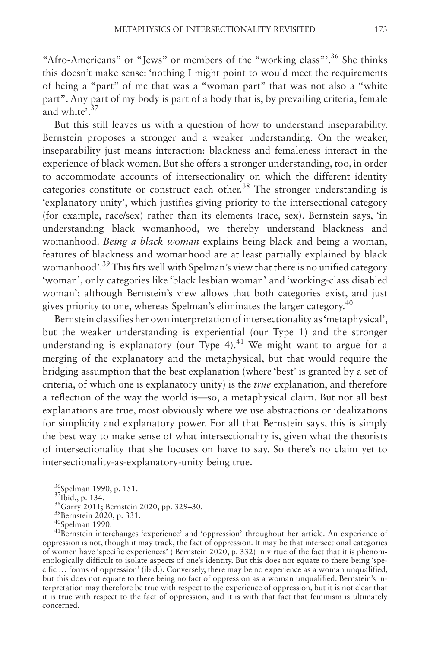"Afro-Americans" or "Jews" or members of the "working class"<sup>36</sup> She thinks this doesn't make sense: 'nothing I might point to would meet the requirements of being a "part" of me that was a "woman part" that was not also a "white part". Any part of my body is part of a body that is, by prevailing criteria, female and white'.<sup>37</sup>

But this still leaves us with a question of how to understand inseparability. Bernstein proposes a stronger and a weaker understanding. On the weaker, inseparability just means interaction: blackness and femaleness interact in the experience of black women. But she offers a stronger understanding, too, in order to accommodate accounts of intersectionality on which the different identity categories constitute or construct each other.<sup>38</sup> The stronger understanding is 'explanatory unity', which justifies giving priority to the intersectional category (for example, race/sex) rather than its elements (race, sex). Bernstein says, 'in understanding black womanhood, we thereby understand blackness and womanhood. *Being a black woman* explains being black and being a woman; features of blackness and womanhood are at least partially explained by black womanhood'.39 This fits well with Spelman's view that there is no unified category 'woman', only categories like 'black lesbian woman' and 'working-class disabled woman'; although Bernstein's view allows that both categories exist, and just gives priority to one, whereas Spelman's eliminates the larger category.40

Bernstein classifies her own interpretation of intersectionality as 'metaphysical', but the weaker understanding is experiential (our Type 1) and the stronger understanding is explanatory (our Type 4).<sup>41</sup> We might want to argue for a merging of the explanatory and the metaphysical, but that would require the bridging assumption that the best explanation (where 'best' is granted by a set of criteria, of which one is explanatory unity) is the *true* explanation, and therefore a reflection of the way the world is—so, a metaphysical claim. But not all best explanations are true, most obviously where we use abstractions or idealizations for simplicity and explanatory power. For all that Bernstein says, this is simply the best way to make sense of what intersectionality is, given what the theorists of intersectionality that she focuses on have to say. So there's no claim yet to intersectionality-as-explanatory-unity being true.

<sup>36</sup>Spelman 1990, p. 151.<br><sup>37</sup>Ibid., p. 134.<br><sup>38</sup>Garry 2011; Bernstein 2020, pp. 329–30.<br><sup>39</sup>Bernstein 2020, p. 331.<br><sup>40</sup>Spelman 1990.<br><sup>41</sup>Bernstein interchanges 'experience' and 'oppression' throughout her article. An ex oppression is not, though it may track, the fact of oppression. It may be that intersectional categories of women have 'specific experiences' ( Bernstein 2020, p. 332) in virtue of the fact that it is phenomenologically difficult to isolate aspects of one's identity. But this does not equate to there being 'specific … forms of oppression' (ibid.). Conversely, there may be no experience as a woman unqualified, but this does not equate to there being no fact of oppression as a woman unqualified. Bernstein's interpretation may therefore be true with respect to the experience of oppression, but it is not clear that it is true with respect to the fact of oppression, and it is with that fact that feminism is ultimately concerned.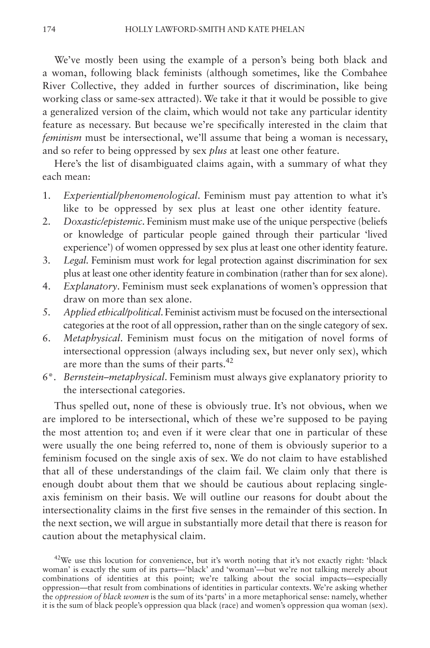We've mostly been using the example of a person's being both black and a woman, following black feminists (although sometimes, like the Combahee River Collective, they added in further sources of discrimination, like being working class or same-sex attracted). We take it that it would be possible to give a generalized version of the claim, which would not take any particular identity feature as necessary. But because we're specifically interested in the claim that *feminism* must be intersectional, we'll assume that being a woman is necessary, and so refer to being oppressed by sex *plus* at least one other feature.

Here's the list of disambiguated claims again, with a summary of what they each mean:

- 1. *Experiential/phenomenological*. Feminism must pay attention to what it's like to be oppressed by sex plus at least one other identity feature.
- 2. *Doxastic/epistemic*. Feminism must make use of the unique perspective (beliefs or knowledge of particular people gained through their particular 'lived experience') of women oppressed by sex plus at least one other identity feature.
- 3. *Legal*. Feminism must work for legal protection against discrimination for sex plus at least one other identity feature in combination (rather than for sex alone).
- 4. *Explanatory*. Feminism must seek explanations of women's oppression that draw on more than sex alone.
- 5. *Applied ethical/political*. Feminist activism must be focused on the intersectional categories at the root of all oppression, rather than on the single category of sex.
- 6. *Metaphysical*. Feminism must focus on the mitigation of novel forms of intersectional oppression (always including sex, but never only sex), which are more than the sums of their parts.<sup>42</sup>
- 6\*. *Bernstein–metaphysical*. Feminism must always give explanatory priority to the intersectional categories.

Thus spelled out, none of these is obviously true. It's not obvious, when we are implored to be intersectional, which of these we're supposed to be paying the most attention to; and even if it were clear that one in particular of these were usually the one being referred to, none of them is obviously superior to a feminism focused on the single axis of sex. We do not claim to have established that all of these understandings of the claim fail. We claim only that there is enough doubt about them that we should be cautious about replacing singleaxis feminism on their basis. We will outline our reasons for doubt about the intersectionality claims in the first five senses in the remainder of this section. In the next section, we will argue in substantially more detail that there is reason for caution about the metaphysical claim.

 $42$ We use this locution for convenience, but it's worth noting that it's not exactly right: 'black woman' is exactly the sum of its parts—'black' and 'woman'—but we're not talking merely about combinations of identities at this point; we're talking about the social impacts—especially oppression—that result from combinations of identities in particular contexts. We're asking whether the *oppression of black women* is the sum of its 'parts' in a more metaphorical sense: namely, whether it is the sum of black people's oppression qua black (race) and women's oppression qua woman (sex).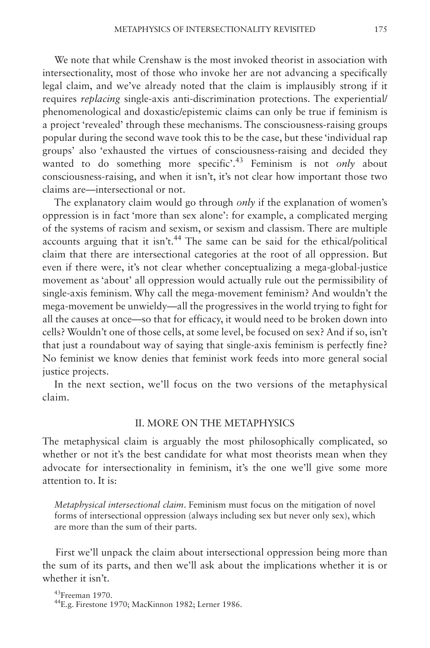We note that while Crenshaw is the most invoked theorist in association with intersectionality, most of those who invoke her are not advancing a specifically legal claim, and we've already noted that the claim is implausibly strong if it requires *replacing* single-axis anti-discrimination protections. The experiential/ phenomenological and doxastic/epistemic claims can only be true if feminism is a project 'revealed' through these mechanisms. The consciousness-raising groups popular during the second wave took this to be the case, but these 'individual rap groups' also 'exhausted the virtues of consciousness-raising and decided they wanted to do something more specific<sup>', 43</sup> Feminism is not *only* about consciousness-raising, and when it isn't, it's not clear how important those two claims are—intersectional or not.

The explanatory claim would go through *only* if the explanation of women's oppression is in fact 'more than sex alone': for example, a complicated merging of the systems of racism and sexism, or sexism and classism. There are multiple accounts arguing that it isn't.<sup>44</sup> The same can be said for the ethical/political claim that there are intersectional categories at the root of all oppression. But even if there were, it's not clear whether conceptualizing a mega-global-justice movement as 'about' all oppression would actually rule out the permissibility of single-axis feminism. Why call the mega-movement feminism? And wouldn't the mega-movement be unwieldy—all the progressives in the world trying to fight for all the causes at once—so that for efficacy, it would need to be broken down into cells? Wouldn't one of those cells, at some level, be focused on sex? And if so, isn't that just a roundabout way of saying that single-axis feminism is perfectly fine? No feminist we know denies that feminist work feeds into more general social justice projects.

In the next section, we'll focus on the two versions of the metaphysical claim.

### II. MORE ON THE METAPHYSICS

The metaphysical claim is arguably the most philosophically complicated, so whether or not it's the best candidate for what most theorists mean when they advocate for intersectionality in feminism, it's the one we'll give some more attention to. It is:

*Metaphysical intersectional claim*. Feminism must focus on the mitigation of novel forms of intersectional oppression (always including sex but never only sex), which are more than the sum of their parts.

First we'll unpack the claim about intersectional oppression being more than the sum of its parts, and then we'll ask about the implications whether it is or whether it isn't.

<sup>43</sup>Freeman 1970.<br><sup>44</sup>E.g. Firestone 1970; MacKinnon 1982; Lerner 1986.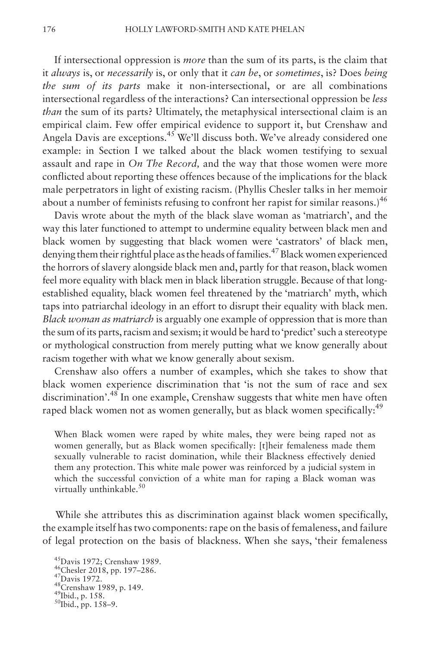If intersectional oppression is *more* than the sum of its parts, is the claim that it *always* is, or *necessarily* is, or only that it *can be*, or *sometimes*, is? Does *being the sum of its parts* make it non-intersectional, or are all combinations intersectional regardless of the interactions? Can intersectional oppression be *less than* the sum of its parts? Ultimately, the metaphysical intersectional claim is an empirical claim. Few offer empirical evidence to support it, but Crenshaw and Angela Davis are exceptions.<sup>45</sup> We'll discuss both. We've already considered one example: in Section I we talked about the black women testifying to sexual assault and rape in *On The Record,* and the way that those women were more conflicted about reporting these offences because of the implications for the black male perpetrators in light of existing racism. (Phyllis Chesler talks in her memoir about a number of feminists refusing to confront her rapist for similar reasons.)<sup>46</sup>

Davis wrote about the myth of the black slave woman as 'matriarch', and the way this later functioned to attempt to undermine equality between black men and black women by suggesting that black women were 'castrators' of black men, denying them their rightful place as the heads of families.47 Black women experienced the horrors of slavery alongside black men and, partly for that reason, black women feel more equality with black men in black liberation struggle. Because of that longestablished equality, black women feel threatened by the 'matriarch' myth, which taps into patriarchal ideology in an effort to disrupt their equality with black men. *Black woman as matriarch* is arguably one example of oppression that is more than the sum of its parts, racism and sexism; it would be hard to 'predict' such a stereotype or mythological construction from merely putting what we know generally about racism together with what we know generally about sexism.

Crenshaw also offers a number of examples, which she takes to show that black women experience discrimination that 'is not the sum of race and sex discrimination'.48 In one example, Crenshaw suggests that white men have often raped black women not as women generally, but as black women specifically:<sup>49</sup>

When Black women were raped by white males, they were being raped not as women generally, but as Black women specifically: [t]heir femaleness made them sexually vulnerable to racist domination, while their Blackness effectively denied them any protection. This white male power was reinforced by a judicial system in which the successful conviction of a white man for raping a Black woman was virtually unthinkable. $50$ 

While she attributes this as discrimination against black women specifically, the example itself has two components: rape on the basis of femaleness, and failure of legal protection on the basis of blackness. When she says, 'their femaleness

<sup>45</sup>Davis 1972; Crenshaw 1989.<br><sup>46</sup>Chesler 2018, pp. 197–286.<br><sup>47</sup>Davis 1972.<br><sup>48</sup>Crenshaw 1989, p. 149.<br><sup>49</sup>Ibid., p. 158.<br><sup>50</sup>Ibid., pp. 158–9.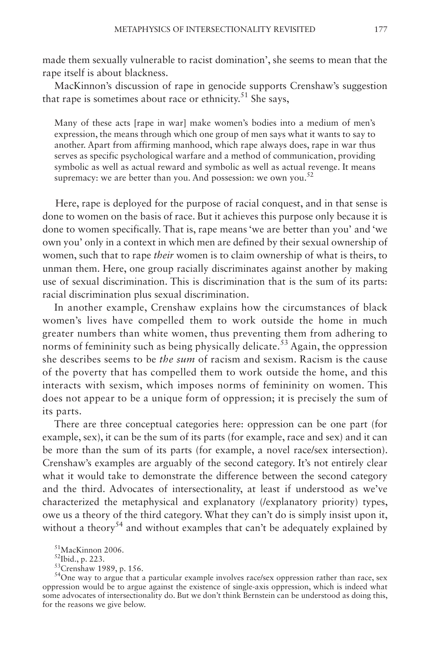made them sexually vulnerable to racist domination', she seems to mean that the rape itself is about blackness.

MacKinnon's discussion of rape in genocide supports Crenshaw's suggestion that rape is sometimes about race or ethnicity.<sup>51</sup> She says,

Many of these acts [rape in war] make women's bodies into a medium of men's expression, the means through which one group of men says what it wants to say to another. Apart from affirming manhood, which rape always does, rape in war thus serves as specific psychological warfare and a method of communication, providing symbolic as well as actual reward and symbolic as well as actual revenge. It means supremacy: we are better than you. And possession: we own you.<sup>52</sup>

Here, rape is deployed for the purpose of racial conquest, and in that sense is done to women on the basis of race. But it achieves this purpose only because it is done to women specifically. That is, rape means 'we are better than you' and 'we own you' only in a context in which men are defined by their sexual ownership of women, such that to rape *their* women is to claim ownership of what is theirs, to unman them. Here, one group racially discriminates against another by making use of sexual discrimination. This is discrimination that is the sum of its parts: racial discrimination plus sexual discrimination.

In another example, Crenshaw explains how the circumstances of black women's lives have compelled them to work outside the home in much greater numbers than white women, thus preventing them from adhering to norms of femininity such as being physically delicate.<sup>53</sup> Again, the oppression she describes seems to be *the sum* of racism and sexism. Racism is the cause of the poverty that has compelled them to work outside the home, and this interacts with sexism, which imposes norms of femininity on women. This does not appear to be a unique form of oppression; it is precisely the sum of its parts.

There are three conceptual categories here: oppression can be one part (for example, sex), it can be the sum of its parts (for example, race and sex) and it can be more than the sum of its parts (for example, a novel race/sex intersection). Crenshaw's examples are arguably of the second category. It's not entirely clear what it would take to demonstrate the difference between the second category and the third. Advocates of intersectionality, at least if understood as we've characterized the metaphysical and explanatory (/explanatory priority) types, owe us a theory of the third category. What they can't do is simply insist upon it, without a theory<sup>54</sup> and without examples that can't be adequately explained by

<sup>51</sup>MacKinnon 2006.<br><sup>52</sup>Ibid., p. 223.<br><sup>53</sup>Crenshaw 1989, p. 156.<br><sup>54</sup>One way to argue that a particular example involves race/sex oppression rather than race, sex oppression would be to argue against the existence of single-axis oppression, which is indeed what some advocates of intersectionality do. But we don't think Bernstein can be understood as doing this, for the reasons we give below.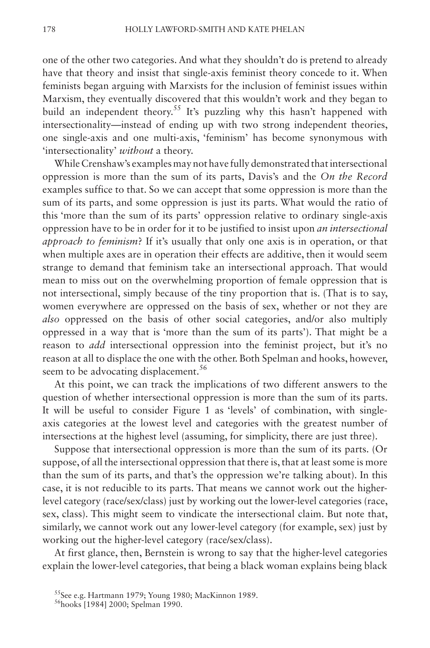one of the other two categories. And what they shouldn't do is pretend to already have that theory and insist that single-axis feminist theory concede to it. When feminists began arguing with Marxists for the inclusion of feminist issues within Marxism, they eventually discovered that this wouldn't work and they began to build an independent theory.<sup>55</sup> It's puzzling why this hasn't happened with intersectionality—instead of ending up with two strong independent theories, one single-axis and one multi-axis, 'feminism' has become synonymous with 'intersectionality' *without* a theory.

While Crenshaw's examples may not have fully demonstrated that intersectional oppression is more than the sum of its parts, Davis's and the *On the Record* examples suffice to that. So we can accept that some oppression is more than the sum of its parts, and some oppression is just its parts. What would the ratio of this 'more than the sum of its parts' oppression relative to ordinary single-axis oppression have to be in order for it to be justified to insist upon *an intersectional approach to feminism*? If it's usually that only one axis is in operation, or that when multiple axes are in operation their effects are additive, then it would seem strange to demand that feminism take an intersectional approach. That would mean to miss out on the overwhelming proportion of female oppression that is not intersectional, simply because of the tiny proportion that is. (That is to say, women everywhere are oppressed on the basis of sex, whether or not they are *also* oppressed on the basis of other social categories, and/or also multiply oppressed in a way that is 'more than the sum of its parts'). That might be a reason to *add* intersectional oppression into the feminist project, but it's no reason at all to displace the one with the other. Both Spelman and hooks, however, seem to be advocating displacement.<sup>56</sup>

At this point, we can track the implications of two different answers to the question of whether intersectional oppression is more than the sum of its parts. It will be useful to consider Figure 1 as 'levels' of combination, with singleaxis categories at the lowest level and categories with the greatest number of intersections at the highest level (assuming, for simplicity, there are just three).

Suppose that intersectional oppression is more than the sum of its parts. (Or suppose, of all the intersectional oppression that there is, that at least some is more than the sum of its parts, and that's the oppression we're talking about). In this case, it is not reducible to its parts. That means we cannot work out the higherlevel category (race/sex/class) just by working out the lower-level categories (race, sex, class). This might seem to vindicate the intersectional claim. But note that, similarly, we cannot work out any lower-level category (for example, sex) just by working out the higher-level category (race/sex/class).

At first glance, then, Bernstein is wrong to say that the higher-level categories explain the lower-level categories, that being a black woman explains being black

<sup>&</sup>lt;sup>55</sup>See e.g. Hartmann 1979; Young 1980; MacKinnon 1989.<br><sup>56</sup>hooks [1984] 2000; Spelman 1990.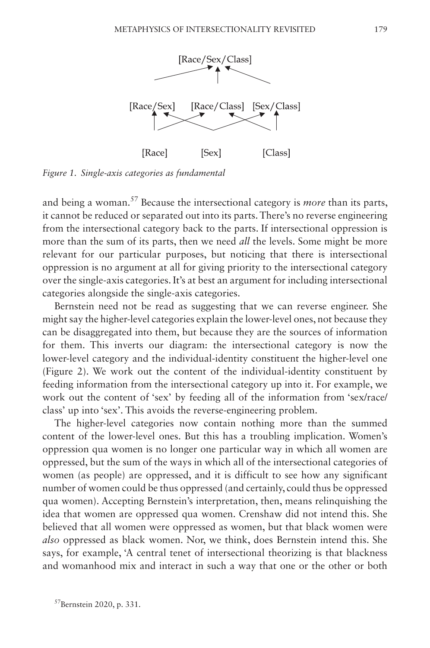

*Figure 1. Single-axis categories as fundamental*

and being a woman.57 Because the intersectional category is *more* than its parts, it cannot be reduced or separated out into its parts. There's no reverse engineering from the intersectional category back to the parts. If intersectional oppression is more than the sum of its parts, then we need *all* the levels. Some might be more relevant for our particular purposes, but noticing that there is intersectional oppression is no argument at all for giving priority to the intersectional category over the single-axis categories. It's at best an argument for including intersectional categories alongside the single-axis categories.

Bernstein need not be read as suggesting that we can reverse engineer. She might say the higher-level categories explain the lower-level ones, not because they can be disaggregated into them, but because they are the sources of information for them. This inverts our diagram: the intersectional category is now the lower-level category and the individual-identity constituent the higher-level one (Figure 2). We work out the content of the individual-identity constituent by feeding information from the intersectional category up into it. For example, we work out the content of 'sex' by feeding all of the information from 'sex/race/ class' up into 'sex'. This avoids the reverse-engineering problem.

The higher-level categories now contain nothing more than the summed content of the lower-level ones. But this has a troubling implication. Women's oppression qua women is no longer one particular way in which all women are oppressed, but the sum of the ways in which all of the intersectional categories of women (as people) are oppressed, and it is difficult to see how any significant number of women could be thus oppressed (and certainly, could thus be oppressed qua women). Accepting Bernstein's interpretation, then, means relinquishing the idea that women are oppressed qua women. Crenshaw did not intend this. She believed that all women were oppressed as women, but that black women were *also* oppressed as black women. Nor, we think, does Bernstein intend this. She says, for example, 'A central tenet of intersectional theorizing is that blackness and womanhood mix and interact in such a way that one or the other or both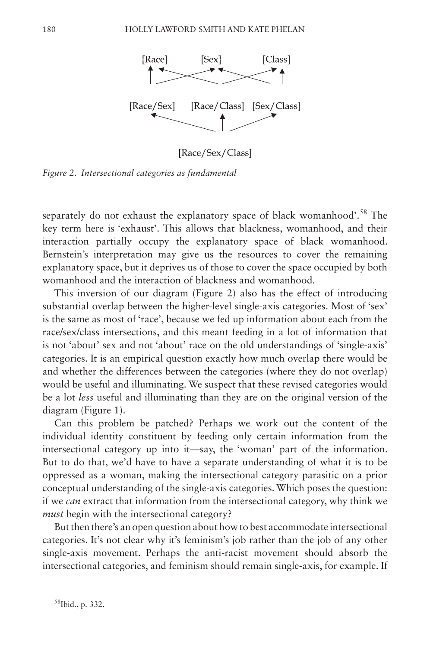

*Figure 2. Intersectional categories as fundamental*

separately do not exhaust the explanatory space of black womanhood'.<sup>58</sup> The key term here is 'exhaust'. This allows that blackness, womanhood, and their interaction partially occupy the explanatory space of black womanhood. Bernstein's interpretation may give us the resources to cover the remaining explanatory space, but it deprives us of those to cover the space occupied by both womanhood and the interaction of blackness and womanhood.

This inversion of our diagram (Figure 2) also has the effect of introducing substantial overlap between the higher-level single-axis categories. Most of 'sex' is the same as most of 'race', because we fed up information about each from the race/sex/class intersections, and this meant feeding in a lot of information that is not 'about' sex and not 'about' race on the old understandings of 'single-axis' categories. It is an empirical question exactly how much overlap there would be and whether the differences between the categories (where they do not overlap) would be useful and illuminating. We suspect that these revised categories would be a lot *less* useful and illuminating than they are on the original version of the diagram (Figure 1).

Can this problem be patched? Perhaps we work out the content of the individual identity constituent by feeding only certain information from the intersectional category up into it—say, the 'woman' part of the information. But to do that, we'd have to have a separate understanding of what it is to be oppressed as a woman, making the intersectional category parasitic on a prior conceptual understanding of the single-axis categories. Which poses the question: if we *can* extract that information from the intersectional category, why think we *must* begin with the intersectional category?

But then there's an open question about how to best accommodate intersectional categories. It's not clear why it's feminism's job rather than the job of any other single-axis movement. Perhaps the anti-racist movement should absorb the intersectional categories, and feminism should remain single-axis, for example. If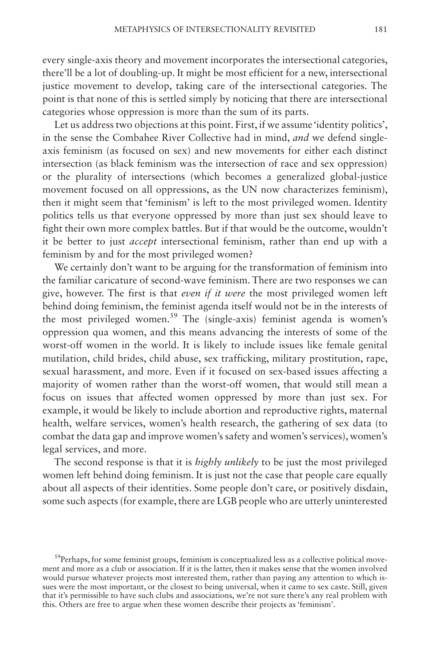every single-axis theory and movement incorporates the intersectional categories, there'll be a lot of doubling-up. It might be most efficient for a new, intersectional justice movement to develop, taking care of the intersectional categories. The point is that none of this is settled simply by noticing that there are intersectional categories whose oppression is more than the sum of its parts.

Let us address two objections at this point. First, if we assume 'identity politics', in the sense the Combahee River Collective had in mind, *and* we defend singleaxis feminism (as focused on sex) and new movements for either each distinct intersection (as black feminism was the intersection of race and sex oppression) or the plurality of intersections (which becomes a generalized global-justice movement focused on all oppressions, as the UN now characterizes feminism), then it might seem that 'feminism' is left to the most privileged women. Identity politics tells us that everyone oppressed by more than just sex should leave to fight their own more complex battles. But if that would be the outcome, wouldn't it be better to just *accept* intersectional feminism, rather than end up with a feminism by and for the most privileged women?

We certainly don't want to be arguing for the transformation of feminism into the familiar caricature of second-wave feminism. There are two responses we can give, however. The first is that *even if it were* the most privileged women left behind doing feminism, the feminist agenda itself would not be in the interests of the most privileged women.<sup>59</sup> The (single-axis) feminist agenda is women's oppression qua women, and this means advancing the interests of some of the worst-off women in the world. It is likely to include issues like female genital mutilation, child brides, child abuse, sex trafficking, military prostitution, rape, sexual harassment, and more. Even if it focused on sex-based issues affecting a majority of women rather than the worst-off women, that would still mean a focus on issues that affected women oppressed by more than just sex. For example, it would be likely to include abortion and reproductive rights, maternal health, welfare services, women's health research, the gathering of sex data (to combat the data gap and improve women's safety and women's services), women's legal services, and more.

The second response is that it is *highly unlikely* to be just the most privileged women left behind doing feminism. It is just not the case that people care equally about all aspects of their identities. Some people don't care, or positively disdain, some such aspects (for example, there are LGB people who are utterly uninterested

 $59$ Perhaps, for some feminist groups, feminism is conceptualized less as a collective political movement and more as a club or association. If it is the latter, then it makes sense that the women involved would pursue whatever projects most interested them, rather than paying any attention to which issues were the most important, or the closest to being universal, when it came to sex caste. Still, given that it's permissible to have such clubs and associations, we're not sure there's any real problem with this. Others are free to argue when these women describe their projects as 'feminism'.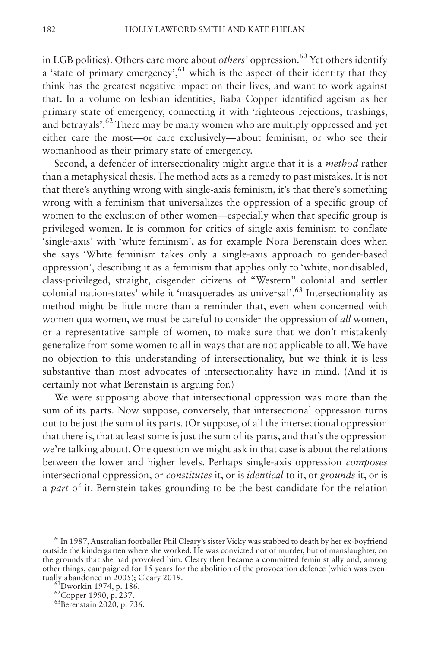in LGB politics). Others care more about *others'* oppression.<sup>60</sup> Yet others identify a 'state of primary emergency',  $61$  which is the aspect of their identity that they think has the greatest negative impact on their lives, and want to work against that. In a volume on lesbian identities, Baba Copper identified ageism as her primary state of emergency, connecting it with 'righteous rejections, trashings, and betrayals'.<sup>62</sup> There may be many women who are multiply oppressed and yet either care the most—or care exclusively—about feminism, or who see their womanhood as their primary state of emergency.

Second, a defender of intersectionality might argue that it is a *method* rather than a metaphysical thesis. The method acts as a remedy to past mistakes. It is not that there's anything wrong with single-axis feminism, it's that there's something wrong with a feminism that universalizes the oppression of a specific group of women to the exclusion of other women—especially when that specific group is privileged women. It is common for critics of single-axis feminism to conflate 'single-axis' with 'white feminism', as for example Nora Berenstain does when she says 'White feminism takes only a single-axis approach to gender-based oppression', describing it as a feminism that applies only to 'white, nondisabled, class-privileged, straight, cisgender citizens of "Western" colonial and settler colonial nation-states' while it 'masquerades as universal'.<sup>63</sup> Intersectionality as method might be little more than a reminder that, even when concerned with women qua women, we must be careful to consider the oppression of *all* women, or a representative sample of women, to make sure that we don't mistakenly generalize from some women to all in ways that are not applicable to all. We have no objection to this understanding of intersectionality, but we think it is less substantive than most advocates of intersectionality have in mind. (And it is certainly not what Berenstain is arguing for.)

We were supposing above that intersectional oppression was more than the sum of its parts. Now suppose, conversely, that intersectional oppression turns out to be just the sum of its parts. (Or suppose, of all the intersectional oppression that there is, that at least some is just the sum of its parts, and that's the oppression we're talking about). One question we might ask in that case is about the relations between the lower and higher levels. Perhaps single-axis oppression *composes* intersectional oppression, or *constitutes* it, or is *identical* to it, or *grounds* it, or is a *part* of it. Bernstein takes grounding to be the best candidate for the relation

 $^{60}$ In 1987, Australian footballer Phil Cleary's sister Vicky was stabbed to death by her ex-boyfriend outside the kindergarten where she worked. He was convicted not of murder, but of manslaughter, on the grounds that she had provoked him. Cleary then became a committed feminist ally and, among other things, campaigned for 15 years for the abolition of the provocation defence (which was eventually abandoned in 2005); Cleary 2019.<br><sup>61</sup>Dworkin 1974, p. 186.<br><sup>62</sup>Copper 1990, p. 237.<br><sup>63</sup>Berenstain 2020, p. 736.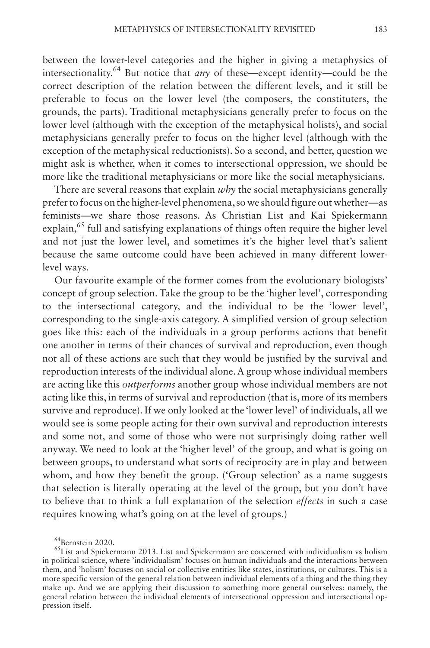between the lower-level categories and the higher in giving a metaphysics of intersectionality.64 But notice that *any* of these—except identity—could be the correct description of the relation between the different levels, and it still be preferable to focus on the lower level (the composers, the constituters, the grounds, the parts). Traditional metaphysicians generally prefer to focus on the lower level (although with the exception of the metaphysical holists), and social metaphysicians generally prefer to focus on the higher level (although with the exception of the metaphysical reductionists). So a second, and better, question we might ask is whether, when it comes to intersectional oppression, we should be more like the traditional metaphysicians or more like the social metaphysicians.

There are several reasons that explain *why* the social metaphysicians generally prefer to focus on the higher-level phenomena, so we should figure out whether—as feminists—we share those reasons. As Christian List and Kai Spiekermann explain,<sup>65</sup> full and satisfying explanations of things often require the higher level and not just the lower level, and sometimes it's the higher level that's salient because the same outcome could have been achieved in many different lowerlevel ways.

Our favourite example of the former comes from the evolutionary biologists' concept of group selection. Take the group to be the 'higher level', corresponding to the intersectional category, and the individual to be the 'lower level', corresponding to the single-axis category. A simplified version of group selection goes like this: each of the individuals in a group performs actions that benefit one another in terms of their chances of survival and reproduction, even though not all of these actions are such that they would be justified by the survival and reproduction interests of the individual alone. A group whose individual members are acting like this *outperforms* another group whose individual members are not acting like this, in terms of survival and reproduction (that is, more of its members survive and reproduce). If we only looked at the 'lower level' of individuals, all we would see is some people acting for their own survival and reproduction interests and some not, and some of those who were not surprisingly doing rather well anyway. We need to look at the 'higher level' of the group, and what is going on between groups, to understand what sorts of reciprocity are in play and between whom, and how they benefit the group. ('Group selection' as a name suggests that selection is literally operating at the level of the group, but you don't have to believe that to think a full explanation of the selection *effects* in such a case requires knowing what's going on at the level of groups.)

<sup>&</sup>lt;sup>64</sup>Bernstein 2020.<br><sup>65</sup>List and Spiekermann 2013. List and Spiekermann are concerned with individualism vs holism in political science, where 'individualism' focuses on human individuals and the interactions between them, and 'holism' focuses on social or collective entities like states, institutions, or cultures. This is a more specific version of the general relation between individual elements of a thing and the thing they make up. And we are applying their discussion to something more general ourselves: namely, the general relation between the individual elements of intersectional oppression and intersectional oppression itself.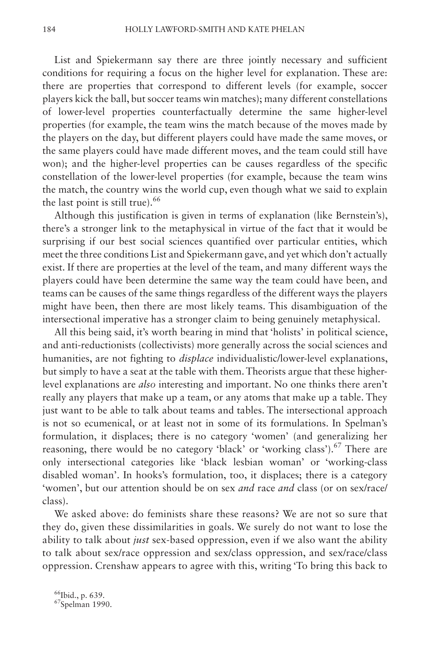List and Spiekermann say there are three jointly necessary and sufficient conditions for requiring a focus on the higher level for explanation. These are: there are properties that correspond to different levels (for example, soccer players kick the ball, but soccer teams win matches); many different constellations of lower-level properties counterfactually determine the same higher-level properties (for example, the team wins the match because of the moves made by the players on the day, but different players could have made the same moves, or the same players could have made different moves, and the team could still have won); and the higher-level properties can be causes regardless of the specific constellation of the lower-level properties (for example, because the team wins the match, the country wins the world cup, even though what we said to explain the last point is still true). $66$ 

Although this justification is given in terms of explanation (like Bernstein's), there's a stronger link to the metaphysical in virtue of the fact that it would be surprising if our best social sciences quantified over particular entities, which meet the three conditions List and Spiekermann gave, and yet which don't actually exist. If there are properties at the level of the team, and many different ways the players could have been determine the same way the team could have been, and teams can be causes of the same things regardless of the different ways the players might have been, then there are most likely teams. This disambiguation of the intersectional imperative has a stronger claim to being genuinely metaphysical.

All this being said, it's worth bearing in mind that 'holists' in political science, and anti-reductionists (collectivists) more generally across the social sciences and humanities, are not fighting to *displace* individualistic/lower-level explanations, but simply to have a seat at the table with them. Theorists argue that these higherlevel explanations are *also* interesting and important. No one thinks there aren't really any players that make up a team, or any atoms that make up a table. They just want to be able to talk about teams and tables. The intersectional approach is not so ecumenical, or at least not in some of its formulations. In Spelman's formulation, it displaces; there is no category 'women' (and generalizing her reasoning, there would be no category 'black' or 'working class').<sup>67</sup> There are only intersectional categories like 'black lesbian woman' or 'working-class disabled woman'. In hooks's formulation, too, it displaces; there is a category 'women', but our attention should be on sex *and* race *and* class (or on sex/race/ class).

We asked above: do feminists share these reasons? We are not so sure that they do, given these dissimilarities in goals. We surely do not want to lose the ability to talk about *just* sex-based oppression, even if we also want the ability to talk about sex/race oppression and sex/class oppression, and sex/race/class oppression. Crenshaw appears to agree with this, writing 'To bring this back to

 $^{66}_{67}$ Ibid., p. 639.<br> $^{67}_{67}$ Spelman 1990.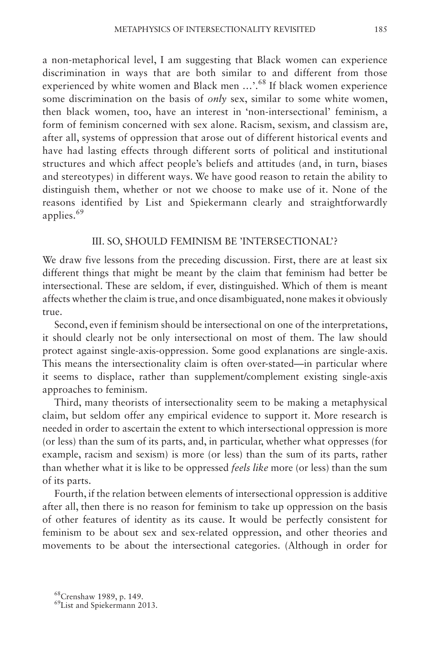a non-metaphorical level, I am suggesting that Black women can experience discrimination in ways that are both similar to and different from those experienced by white women and Black men ...'.<sup>68</sup> If black women experience some discrimination on the basis of *only* sex, similar to some white women, then black women, too, have an interest in 'non-intersectional' feminism, a form of feminism concerned with sex alone. Racism, sexism, and classism are, after all, systems of oppression that arose out of different historical events and have had lasting effects through different sorts of political and institutional structures and which affect people's beliefs and attitudes (and, in turn, biases and stereotypes) in different ways. We have good reason to retain the ability to distinguish them, whether or not we choose to make use of it. None of the reasons identified by List and Spiekermann clearly and straightforwardly applies.<sup>69</sup>

### III. SO, SHOULD FEMINISM BE 'INTERSECTIONAL'?

We draw five lessons from the preceding discussion. First, there are at least six different things that might be meant by the claim that feminism had better be intersectional. These are seldom, if ever, distinguished. Which of them is meant affects whether the claim is true, and once disambiguated, none makes it obviously true.

Second, even if feminism should be intersectional on one of the interpretations, it should clearly not be only intersectional on most of them. The law should protect against single-axis-oppression. Some good explanations are single-axis. This means the intersectionality claim is often over-stated—in particular where it seems to displace, rather than supplement/complement existing single-axis approaches to feminism.

Third, many theorists of intersectionality seem to be making a metaphysical claim, but seldom offer any empirical evidence to support it. More research is needed in order to ascertain the extent to which intersectional oppression is more (or less) than the sum of its parts, and, in particular, whether what oppresses (for example, racism and sexism) is more (or less) than the sum of its parts, rather than whether what it is like to be oppressed *feels like* more (or less) than the sum of its parts.

Fourth, if the relation between elements of intersectional oppression is additive after all, then there is no reason for feminism to take up oppression on the basis of other features of identity as its cause. It would be perfectly consistent for feminism to be about sex and sex-related oppression, and other theories and movements to be about the intersectional categories. (Although in order for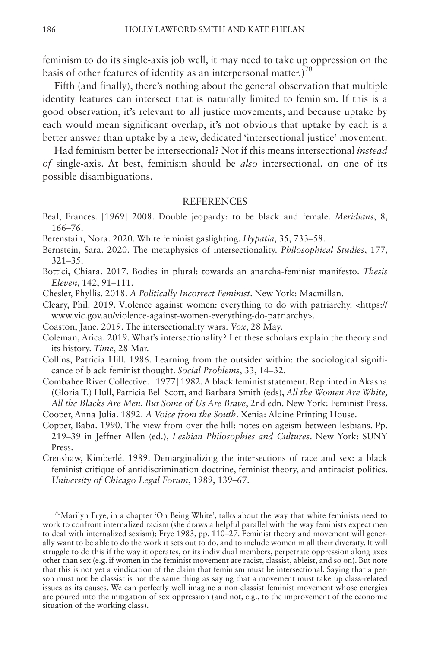feminism to do its single-axis job well, it may need to take up oppression on the basis of other features of identity as an interpersonal matter.)<sup>70</sup>

Fifth (and finally), there's nothing about the general observation that multiple identity features can intersect that is naturally limited to feminism. If this is a good observation, it's relevant to all justice movements, and because uptake by each would mean significant overlap, it's not obvious that uptake by each is a better answer than uptake by a new, dedicated 'intersectional justice' movement.

Had feminism better be intersectional? Not if this means intersectional *instead of* single-axis. At best, feminism should be *also* intersectional, on one of its possible disambiguations.

#### **REFERENCES**

- Beal, Frances. [1969] 2008. Double jeopardy: to be black and female. *Meridians*, 8, 166–76.
- Berenstain, Nora. 2020. White feminist gaslighting. *Hypatia*, 35, 733–58.
- Bernstein, Sara. 2020. The metaphysics of intersectionality. *Philosophical Studies*, 177, 321–35.
- Bottici, Chiara. 2017. Bodies in plural: towards an anarcha-feminist manifesto. *Thesis Eleven*, 142, 91–111.
- Chesler, Phyllis. 2018. *A Politically Incorrect Feminist*. New York: Macmillan.
- Cleary, Phil. 2019. Violence against women: everything to do with patriarchy. [<https://](https://www.vic.gov.au/violence-against-women-everything-do-patriarchy) [www.vic.gov.au/violence-against-women-everything-do-patriarchy](https://www.vic.gov.au/violence-against-women-everything-do-patriarchy)>.
- Coaston, Jane. 2019. The intersectionality wars. *Vox*, 28 May.
- Coleman, Arica. 2019. What's intersectionality? Let these scholars explain the theory and its history. *Time*, 28 Mar.
- Collins, Patricia Hill. 1986. Learning from the outsider within: the sociological significance of black feminist thought. *Social Problems*, 33, 14–32.
- Combahee River Collective. [ 1977] 1982. A black feminist statement. Reprinted in Akasha (Gloria T.) Hull, Patricia Bell Scott, and Barbara Smith (eds), *All the Women Are White, All the Blacks Are Men, But Some of Us Are Brave*, 2nd edn. New York: Feminist Press. Cooper, Anna Julia. 1892. *A Voice from the South*. Xenia: Aldine Printing House.
- Copper, Baba. 1990. The view from over the hill: notes on ageism between lesbians. Pp. 219–39 in Jeffner Allen (ed.), *Lesbian Philosophies and Cultures*. New York: SUNY Press.
- Crenshaw, Kimberlé. 1989. Demarginalizing the intersections of race and sex: a black feminist critique of antidiscrimination doctrine, feminist theory, and antiracist politics. *University of Chicago Legal Forum*, 1989, 139–67.

<sup>70</sup>Marilyn Frye, in a chapter 'On Being White', talks about the way that white feminists need to work to confront internalized racism (she draws a helpful parallel with the way feminists expect men to deal with internalized sexism); Frye 1983, pp. 110–27. Feminist theory and movement will generally want to be able to do the work it sets out to do, and to include women in all their diversity. It will struggle to do this if the way it operates, or its individual members, perpetrate oppression along axes other than sex (e.g. if women in the feminist movement are racist, classist, ableist, and so on). But note that this is not yet a vindication of the claim that feminism must be intersectional. Saying that a person must not be classist is not the same thing as saying that a movement must take up class-related issues as its causes. We can perfectly well imagine a non-classist feminist movement whose energies are poured into the mitigation of sex oppression (and not, e.g., to the improvement of the economic situation of the working class).